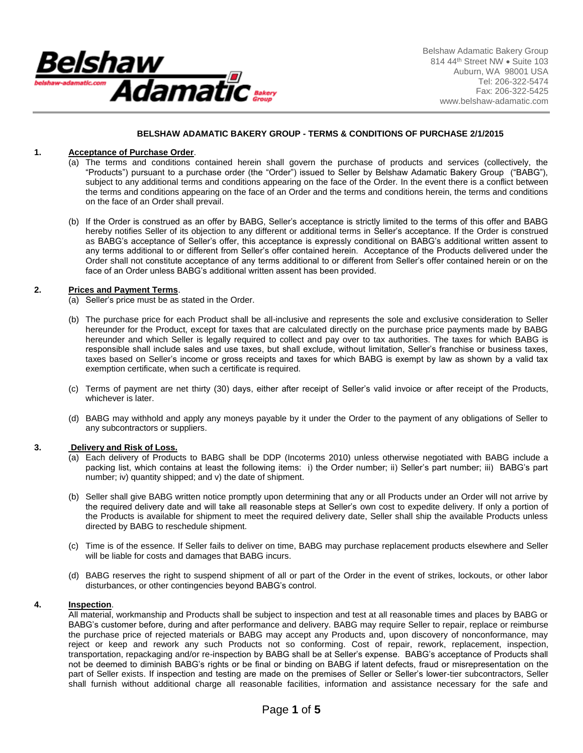

Belshaw Adamatic Bakery Group 814 44th Street NW . Suite 103 Auburn, WA 98001 USA Tel: 206-322-5474 Fax: 206-322-5425 www.belshaw-adamatic.com

# **BELSHAW ADAMATIC BAKERY GROUP - TERMS & CONDITIONS OF PURCHASE 2/1/2015**

## **1. Acceptance of Purchase Order**.

- (a) The terms and conditions contained herein shall govern the purchase of products and services (collectively, the "Products") pursuant to a purchase order (the "Order") issued to Seller by Belshaw Adamatic Bakery Group ("BABG"), subject to any additional terms and conditions appearing on the face of the Order. In the event there is a conflict between the terms and conditions appearing on the face of an Order and the terms and conditions herein, the terms and conditions on the face of an Order shall prevail.
- (b) If the Order is construed as an offer by BABG, Seller's acceptance is strictly limited to the terms of this offer and BABG hereby notifies Seller of its objection to any different or additional terms in Seller's acceptance. If the Order is construed as BABG's acceptance of Seller's offer, this acceptance is expressly conditional on BABG's additional written assent to any terms additional to or different from Seller's offer contained herein. Acceptance of the Products delivered under the Order shall not constitute acceptance of any terms additional to or different from Seller's offer contained herein or on the face of an Order unless BABG's additional written assent has been provided.

## **2. Prices and Payment Terms**.

- (a) Seller's price must be as stated in the Order.
- (b) The purchase price for each Product shall be all-inclusive and represents the sole and exclusive consideration to Seller hereunder for the Product, except for taxes that are calculated directly on the purchase price payments made by BABG hereunder and which Seller is legally required to collect and pay over to tax authorities. The taxes for which BABG is responsible shall include sales and use taxes, but shall exclude, without limitation, Seller's franchise or business taxes, taxes based on Seller's income or gross receipts and taxes for which BABG is exempt by law as shown by a valid tax exemption certificate, when such a certificate is required.
- (c) Terms of payment are net thirty (30) days, either after receipt of Seller's valid invoice or after receipt of the Products, whichever is later.
- (d) BABG may withhold and apply any moneys payable by it under the Order to the payment of any obligations of Seller to any subcontractors or suppliers.

## **3. Delivery and Risk of Loss.**

- (a) Each delivery of Products to BABG shall be DDP (Incoterms 2010) unless otherwise negotiated with BABG include a packing list, which contains at least the following items: i) the Order number; ii) Seller's part number; iii) BABG's part number; iv) quantity shipped; and v) the date of shipment.
- (b) Seller shall give BABG written notice promptly upon determining that any or all Products under an Order will not arrive by the required delivery date and will take all reasonable steps at Seller's own cost to expedite delivery. If only a portion of the Products is available for shipment to meet the required delivery date, Seller shall ship the available Products unless directed by BABG to reschedule shipment.
- (c) Time is of the essence. If Seller fails to deliver on time, BABG may purchase replacement products elsewhere and Seller will be liable for costs and damages that BABG incurs.
- (d) BABG reserves the right to suspend shipment of all or part of the Order in the event of strikes, lockouts, or other labor disturbances, or other contingencies beyond BABG's control.

#### **4. Inspection**.

All material, workmanship and Products shall be subject to inspection and test at all reasonable times and places by BABG or BABG's customer before, during and after performance and delivery. BABG may require Seller to repair, replace or reimburse the purchase price of rejected materials or BABG may accept any Products and, upon discovery of nonconformance, may reject or keep and rework any such Products not so conforming. Cost of repair, rework, replacement, inspection, transportation, repackaging and/or re-inspection by BABG shall be at Seller's expense. BABG's acceptance of Products shall not be deemed to diminish BABG's rights or be final or binding on BABG if latent defects, fraud or misrepresentation on the part of Seller exists. If inspection and testing are made on the premises of Seller or Seller's lower-tier subcontractors, Seller shall furnish without additional charge all reasonable facilities, information and assistance necessary for the safe and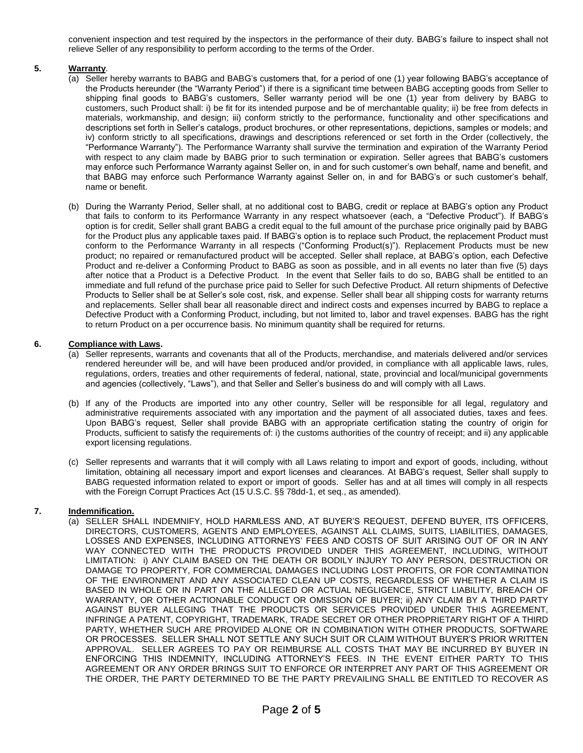convenient inspection and test required by the inspectors in the performance of their duty. BABG's failure to inspect shall not relieve Seller of any responsibility to perform according to the terms of the Order.

# **5. Warranty**.

- (a) Seller hereby warrants to BABG and BABG's customers that, for a period of one (1) year following BABG's acceptance of the Products hereunder (the "Warranty Period") if there is a significant time between BABG accepting goods from Seller to shipping final goods to BABG's customers, Seller warranty period will be one (1) year from delivery by BABG to customers, such Product shall: i) be fit for its intended purpose and be of merchantable quality; ii) be free from defects in materials, workmanship, and design; iii) conform strictly to the performance, functionality and other specifications and descriptions set forth in Seller's catalogs, product brochures, or other representations, depictions, samples or models; and iv) conform strictly to all specifications, drawings and descriptions referenced or set forth in the Order (collectively, the "Performance Warranty"). The Performance Warranty shall survive the termination and expiration of the Warranty Period with respect to any claim made by BABG prior to such termination or expiration. Seller agrees that BABG's customers may enforce such Performance Warranty against Seller on, in and for such customer's own behalf, name and benefit, and that BABG may enforce such Performance Warranty against Seller on, in and for BABG's or such customer's behalf, name or benefit.
- (b) During the Warranty Period, Seller shall, at no additional cost to BABG, credit or replace at BABG's option any Product that fails to conform to its Performance Warranty in any respect whatsoever (each, a "Defective Product"). If BABG's option is for credit, Seller shall grant BABG a credit equal to the full amount of the purchase price originally paid by BABG for the Product plus any applicable taxes paid. If BABG's option is to replace such Product, the replacement Product must conform to the Performance Warranty in all respects ("Conforming Product(s)"). Replacement Products must be new product; no repaired or remanufactured product will be accepted. Seller shall replace, at BABG's option, each Defective Product and re-deliver a Conforming Product to BABG as soon as possible, and in all events no later than five (5) days after notice that a Product is a Defective Product. In the event that Seller fails to do so, BABG shall be entitled to an immediate and full refund of the purchase price paid to Seller for such Defective Product. All return shipments of Defective Products to Seller shall be at Seller's sole cost, risk, and expense. Seller shall bear all shipping costs for warranty returns and replacements. Seller shall bear all reasonable direct and indirect costs and expenses incurred by BABG to replace a Defective Product with a Conforming Product, including, but not limited to, labor and travel expenses. BABG has the right to return Product on a per occurrence basis. No minimum quantity shall be required for returns.

## **6. Compliance with Laws.**

- (a) Seller represents, warrants and covenants that all of the Products, merchandise, and materials delivered and/or services rendered hereunder will be, and will have been produced and/or provided, in compliance with all applicable laws, rules, regulations, orders, treaties and other requirements of federal, national, state, provincial and local/municipal governments and agencies (collectively, "Laws"), and that Seller and Seller's business do and will comply with all Laws.
- (b) If any of the Products are imported into any other country, Seller will be responsible for all legal, regulatory and administrative requirements associated with any importation and the payment of all associated duties, taxes and fees. Upon BABG's request, Seller shall provide BABG with an appropriate certification stating the country of origin for Products, sufficient to satisfy the requirements of: i) the customs authorities of the country of receipt; and ii) any applicable export licensing regulations.
- (c) Seller represents and warrants that it will comply with all Laws relating to import and export of goods, including, without limitation, obtaining all necessary import and export licenses and clearances. At BABG's request, Seller shall supply to BABG requested information related to export or import of goods. Seller has and at all times will comply in all respects with the Foreign Corrupt Practices Act (15 U.S.C. §§ 78dd-1, et seq., as amended).

# **7. Indemnification.**

(a) SELLER SHALL INDEMNIFY, HOLD HARMLESS AND, AT BUYER'S REQUEST, DEFEND BUYER, ITS OFFICERS, DIRECTORS, CUSTOMERS, AGENTS AND EMPLOYEES, AGAINST ALL CLAIMS, SUITS, LIABILITIES, DAMAGES, LOSSES AND EXPENSES, INCLUDING ATTORNEYS' FEES AND COSTS OF SUIT ARISING OUT OF OR IN ANY WAY CONNECTED WITH THE PRODUCTS PROVIDED UNDER THIS AGREEMENT, INCLUDING, WITHOUT LIMITATION: i) ANY CLAIM BASED ON THE DEATH OR BODILY INJURY TO ANY PERSON, DESTRUCTION OR DAMAGE TO PROPERTY, FOR COMMERCIAL DAMAGES INCLUDING LOST PROFITS, OR FOR CONTAMINATION OF THE ENVIRONMENT AND ANY ASSOCIATED CLEAN UP COSTS, REGARDLESS OF WHETHER A CLAIM IS BASED IN WHOLE OR IN PART ON THE ALLEGED OR ACTUAL NEGLIGENCE, STRICT LIABILITY, BREACH OF WARRANTY, OR OTHER ACTIONABLE CONDUCT OR OMISSION OF BUYER; ii) ANY CLAIM BY A THIRD PARTY AGAINST BUYER ALLEGING THAT THE PRODUCTS OR SERVICES PROVIDED UNDER THIS AGREEMENT, INFRINGE A PATENT, COPYRIGHT, TRADEMARK, TRADE SECRET OR OTHER PROPRIETARY RIGHT OF A THIRD PARTY, WHETHER SUCH ARE PROVIDED ALONE OR IN COMBINATION WITH OTHER PRODUCTS, SOFTWARE OR PROCESSES. SELLER SHALL NOT SETTLE ANY SUCH SUIT OR CLAIM WITHOUT BUYER'S PRIOR WRITTEN APPROVAL. SELLER AGREES TO PAY OR REIMBURSE ALL COSTS THAT MAY BE INCURRED BY BUYER IN ENFORCING THIS INDEMNITY, INCLUDING ATTORNEY'S FEES. IN THE EVENT EITHER PARTY TO THIS AGREEMENT OR ANY ORDER BRINGS SUIT TO ENFORCE OR INTERPRET ANY PART OF THIS AGREEMENT OR THE ORDER, THE PARTY DETERMINED TO BE THE PARTY PREVAILING SHALL BE ENTITLED TO RECOVER AS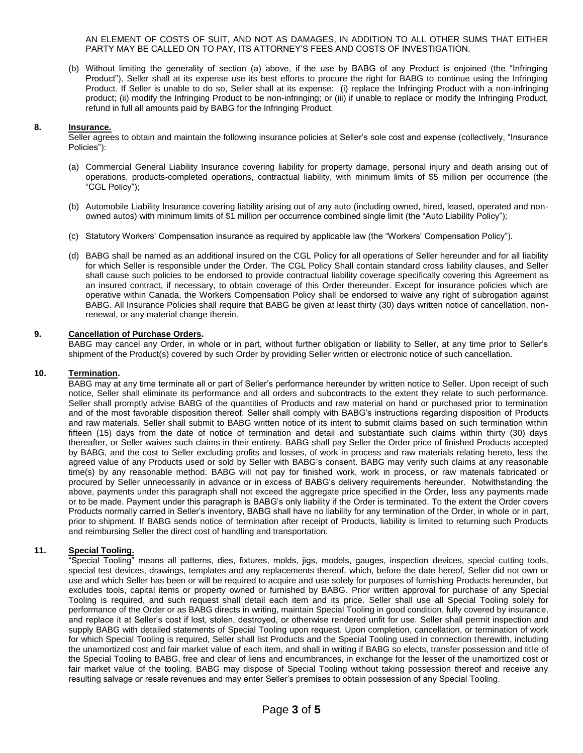AN ELEMENT OF COSTS OF SUIT, AND NOT AS DAMAGES, IN ADDITION TO ALL OTHER SUMS THAT EITHER PARTY MAY BE CALLED ON TO PAY, ITS ATTORNEY'S FEES AND COSTS OF INVESTIGATION.

(b) Without limiting the generality of section (a) above, if the use by BABG of any Product is enjoined (the "Infringing Product"), Seller shall at its expense use its best efforts to procure the right for BABG to continue using the Infringing Product. If Seller is unable to do so, Seller shall at its expense: (i) replace the Infringing Product with a non-infringing product; (ii) modify the Infringing Product to be non-infringing; or (iii) if unable to replace or modify the Infringing Product, refund in full all amounts paid by BABG for the Infringing Product.

#### **8. Insurance.**

Seller agrees to obtain and maintain the following insurance policies at Seller's sole cost and expense (collectively, "Insurance Policies"):

- (a) Commercial General Liability Insurance covering liability for property damage, personal injury and death arising out of operations, products-completed operations, contractual liability, with minimum limits of \$5 million per occurrence (the "CGL Policy");
- (b) Automobile Liability Insurance covering liability arising out of any auto (including owned, hired, leased, operated and nonowned autos) with minimum limits of \$1 million per occurrence combined single limit (the "Auto Liability Policy");
- (c) Statutory Workers' Compensation insurance as required by applicable law (the "Workers' Compensation Policy").
- (d) BABG shall be named as an additional insured on the CGL Policy for all operations of Seller hereunder and for all liability for which Seller is responsible under the Order. The CGL Policy Shall contain standard cross liability clauses, and Seller shall cause such policies to be endorsed to provide contractual liability coverage specifically covering this Agreement as an insured contract, if necessary, to obtain coverage of this Order thereunder. Except for insurance policies which are operative within Canada, the Workers Compensation Policy shall be endorsed to waive any right of subrogation against BABG. All Insurance Policies shall require that BABG be given at least thirty (30) days written notice of cancellation, nonrenewal, or any material change therein.

## **9. Cancellation of Purchase Orders.**

BABG may cancel any Order, in whole or in part, without further obligation or liability to Seller, at any time prior to Seller's shipment of the Product(s) covered by such Order by providing Seller written or electronic notice of such cancellation.

#### **10. Termination.**

BABG may at any time terminate all or part of Seller's performance hereunder by written notice to Seller. Upon receipt of such notice, Seller shall eliminate its performance and all orders and subcontracts to the extent they relate to such performance. Seller shall promptly advise BABG of the quantities of Products and raw material on hand or purchased prior to termination and of the most favorable disposition thereof. Seller shall comply with BABG's instructions regarding disposition of Products and raw materials. Seller shall submit to BABG written notice of its intent to submit claims based on such termination within fifteen (15) days from the date of notice of termination and detail and substantiate such claims within thirty (30) days thereafter, or Seller waives such claims in their entirety. BABG shall pay Seller the Order price of finished Products accepted by BABG, and the cost to Seller excluding profits and losses, of work in process and raw materials relating hereto, less the agreed value of any Products used or sold by Seller with BABG's consent. BABG may verify such claims at any reasonable time(s) by any reasonable method. BABG will not pay for finished work, work in process, or raw materials fabricated or procured by Seller unnecessarily in advance or in excess of BABG's delivery requirements hereunder. Notwithstanding the above, payments under this paragraph shall not exceed the aggregate price specified in the Order, less any payments made or to be made. Payment under this paragraph is BABG's only liability if the Order is terminated. To the extent the Order covers Products normally carried in Seller's inventory, BABG shall have no liability for any termination of the Order, in whole or in part, prior to shipment. If BABG sends notice of termination after receipt of Products, liability is limited to returning such Products and reimbursing Seller the direct cost of handling and transportation.

# **11. Special Tooling.**

"Special Tooling" means all patterns, dies, fixtures, molds, jigs, models, gauges, inspection devices, special cutting tools, special test devices, drawings, templates and any replacements thereof, which, before the date hereof, Seller did not own or use and which Seller has been or will be required to acquire and use solely for purposes of furnishing Products hereunder, but excludes tools, capital items or property owned or furnished by BABG. Prior written approval for purchase of any Special Tooling is required, and such request shall detail each item and its price. Seller shall use all Special Tooling solely for performance of the Order or as BABG directs in writing, maintain Special Tooling in good condition, fully covered by insurance, and replace it at Seller's cost if lost, stolen, destroyed, or otherwise rendered unfit for use. Seller shall permit inspection and supply BABG with detailed statements of Special Tooling upon request. Upon completion, cancellation, or termination of work for which Special Tooling is required, Seller shall list Products and the Special Tooling used in connection therewith, including the unamortized cost and fair market value of each item, and shall in writing if BABG so elects, transfer possession and title of the Special Tooling to BABG, free and clear of liens and encumbrances, in exchange for the lesser of the unamortized cost or fair market value of the tooling. BABG may dispose of Special Tooling without taking possession thereof and receive any resulting salvage or resale revenues and may enter Seller's premises to obtain possession of any Special Tooling.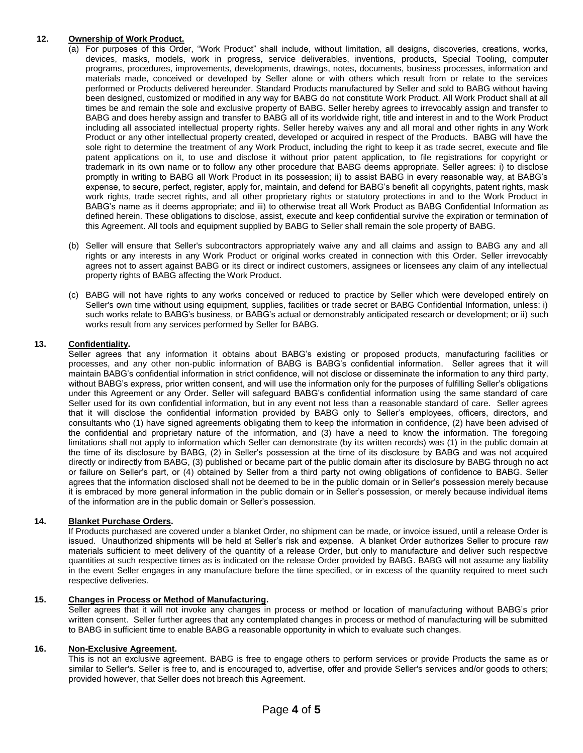# **12. Ownership of Work Product.**

- (a) For purposes of this Order, "Work Product" shall include, without limitation, all designs, discoveries, creations, works, devices, masks, models, work in progress, service deliverables, inventions, products, Special Tooling, computer programs, procedures, improvements, developments, drawings, notes, documents, business processes, information and materials made, conceived or developed by Seller alone or with others which result from or relate to the services performed or Products delivered hereunder. Standard Products manufactured by Seller and sold to BABG without having been designed, customized or modified in any way for BABG do not constitute Work Product. All Work Product shall at all times be and remain the sole and exclusive property of BABG. Seller hereby agrees to irrevocably assign and transfer to BABG and does hereby assign and transfer to BABG all of its worldwide right, title and interest in and to the Work Product including all associated intellectual property rights. Seller hereby waives any and all moral and other rights in any Work Product or any other intellectual property created, developed or acquired in respect of the Products. BABG will have the sole right to determine the treatment of any Work Product, including the right to keep it as trade secret, execute and file patent applications on it, to use and disclose it without prior patent application, to file registrations for copyright or trademark in its own name or to follow any other procedure that BABG deems appropriate. Seller agrees: i) to disclose promptly in writing to BABG all Work Product in its possession; ii) to assist BABG in every reasonable way, at BABG's expense, to secure, perfect, register, apply for, maintain, and defend for BABG's benefit all copyrights, patent rights, mask work rights, trade secret rights, and all other proprietary rights or statutory protections in and to the Work Product in BABG's name as it deems appropriate; and iii) to otherwise treat all Work Product as BABG Confidential Information as defined herein. These obligations to disclose, assist, execute and keep confidential survive the expiration or termination of this Agreement. All tools and equipment supplied by BABG to Seller shall remain the sole property of BABG.
- (b) Seller will ensure that Seller's subcontractors appropriately waive any and all claims and assign to BABG any and all rights or any interests in any Work Product or original works created in connection with this Order. Seller irrevocably agrees not to assert against BABG or its direct or indirect customers, assignees or licensees any claim of any intellectual property rights of BABG affecting the Work Product.
- (c) BABG will not have rights to any works conceived or reduced to practice by Seller which were developed entirely on Seller's own time without using equipment, supplies, facilities or trade secret or BABG Confidential Information, unless: i) such works relate to BABG's business, or BABG's actual or demonstrably anticipated research or development; or ii) such works result from any services performed by Seller for BABG.

# **13. Confidentiality.**

Seller agrees that any information it obtains about BABG's existing or proposed products, manufacturing facilities or processes, and any other non-public information of BABG is BABG's confidential information. Seller agrees that it will maintain BABG's confidential information in strict confidence, will not disclose or disseminate the information to any third party, without BABG's express, prior written consent, and will use the information only for the purposes of fulfilling Seller's obligations under this Agreement or any Order. Seller will safeguard BABG's confidential information using the same standard of care Seller used for its own confidential information, but in any event not less than a reasonable standard of care. Seller agrees that it will disclose the confidential information provided by BABG only to Seller's employees, officers, directors, and consultants who (1) have signed agreements obligating them to keep the information in confidence, (2) have been advised of the confidential and proprietary nature of the information, and (3) have a need to know the information. The foregoing limitations shall not apply to information which Seller can demonstrate (by its written records) was (1) in the public domain at the time of its disclosure by BABG, (2) in Seller's possession at the time of its disclosure by BABG and was not acquired directly or indirectly from BABG, (3) published or became part of the public domain after its disclosure by BABG through no act or failure on Seller's part, or (4) obtained by Seller from a third party not owing obligations of confidence to BABG. Seller agrees that the information disclosed shall not be deemed to be in the public domain or in Seller's possession merely because it is embraced by more general information in the public domain or in Seller's possession, or merely because individual items of the information are in the public domain or Seller's possession.

# **14. Blanket Purchase Orders.**

If Products purchased are covered under a blanket Order, no shipment can be made, or invoice issued, until a release Order is issued. Unauthorized shipments will be held at Seller's risk and expense. A blanket Order authorizes Seller to procure raw materials sufficient to meet delivery of the quantity of a release Order, but only to manufacture and deliver such respective quantities at such respective times as is indicated on the release Order provided by BABG. BABG will not assume any liability in the event Seller engages in any manufacture before the time specified, or in excess of the quantity required to meet such respective deliveries.

# **15. Changes in Process or Method of Manufacturing.**

Seller agrees that it will not invoke any changes in process or method or location of manufacturing without BABG's prior written consent. Seller further agrees that any contemplated changes in process or method of manufacturing will be submitted to BABG in sufficient time to enable BABG a reasonable opportunity in which to evaluate such changes.

## **16. Non-Exclusive Agreement.**

This is not an exclusive agreement. BABG is free to engage others to perform services or provide Products the same as or similar to Seller's. Seller is free to, and is encouraged to, advertise, offer and provide Seller's services and/or goods to others; provided however, that Seller does not breach this Agreement.